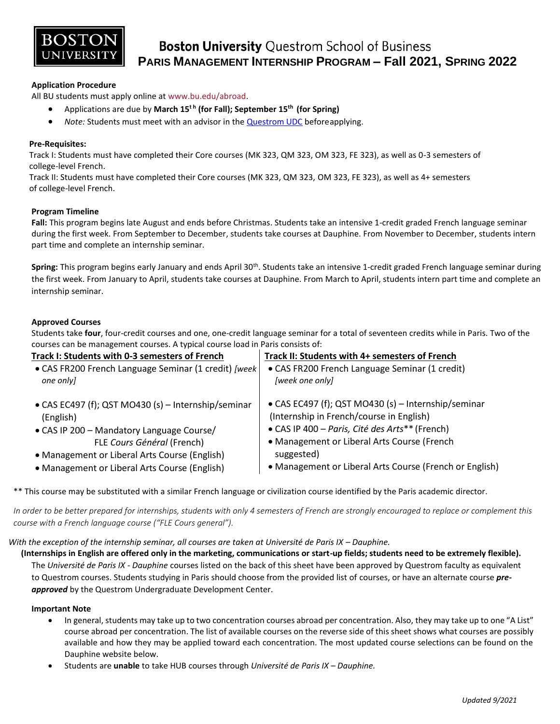

# **Boston University Questrom School of Business PARIS MANAGEMENT INTERNSHIP PROGRAM – Fall 2021, SPRING 2022**

# **Application Procedure**

All BU students must apply online at [www.bu.edu/abroad.](http://www.bu.edu/abroad)

- Applications are due by **March 15<sup>t</sup> <sup>h</sup> (for Fall); September 15th (for Spring)**
- *Note:* Students must meet with an advisor in the [Questrom UDC](http://questromworld.bu.edu/studyabroad/advising/) beforeapplying.

## **Pre-Requisites:**

 Track I: Students must have completed their Core courses (MK 323, QM 323, OM 323, FE 323), as well as 0-3 semesters of college-level French.

 Track II: Students must have completed their Core courses (MK 323, QM 323, OM 323, FE 323), as well as 4+ semesters of college-level French.

### **Program Timeline**

**Fall:** This program begins late August and ends before Christmas. Students take an intensive 1-credit graded French language seminar during the first week. From September to December, students take courses at Dauphine. From November to December, students intern part time and complete an internship seminar.

Spring: This program begins early January and ends April 30<sup>th</sup>. Students take an intensive 1-credit graded French language seminar during the first week. From January to April, students take courses at Dauphine. From March to April, students intern part time and complete an internship seminar.

# **Approved Courses**

Students take **four**, four-credit courses and one, one-credit language seminar for a total of seventeen credits while in Paris. Two of the courses can be management courses. A typical course load in Paris consists of:

| Track I: Students with 0-3 semesters of French        | Track II: Students with 4+ semesters of French          |
|-------------------------------------------------------|---------------------------------------------------------|
| • CAS FR200 French Language Seminar (1 credit) [week] | • CAS FR200 French Language Seminar (1 credit)          |
| one only]                                             | [week one only]                                         |
| • CAS EC497 (f); QST MO430 (s) - Internship/seminar   | • CAS EC497 (f); QST MO430 (s) - Internship/seminar     |
| (English)                                             | (Internship in French/course in English)                |
| • CAS IP 200 - Mandatory Language Course/             | • CAS IP 400 - Paris, Cité des Arts** (French)          |
| FLE Cours Général (French)                            | • Management or Liberal Arts Course (French             |
| • Management or Liberal Arts Course (English)         | suggested)                                              |
| • Management or Liberal Arts Course (English)         | • Management or Liberal Arts Course (French or English) |

\*\* This course may be substituted with a similar French language or civilization course identified by the Paris academic director.

*In order to be better prepared for internships, students with only 4 semesters of French are strongly encouraged to replace or complement this course with a French language course ("FLE Cours general").*

### *With the exception of the internship seminar, all courses are taken at Université de Paris IX – Dauphine.*

 **(Internships in English are offered only in the marketing, communications or start-up fields; students need to be extremely flexible).** The *Université de Paris IX - Dauphine* courses listed on the back of this sheet have been approved by Questrom faculty as equivalent to Questrom courses. Students studying in Paris should choose from the provided list of courses, or have an alternate course *preapproved* by the Questrom Undergraduate Development Center.

### **Important Note**

- In general, students may take up to two concentration courses abroad per concentration. Also, they may take up to one "A List" course abroad per concentration. The list of available courses on the reverse side of this sheet shows what courses are possibly available and how they may be applied toward each concentration. The most updated course selections can be found on the Dauphine website below.
- Students are **unable** to take HUB courses through *Université de Paris IX – Dauphine.*